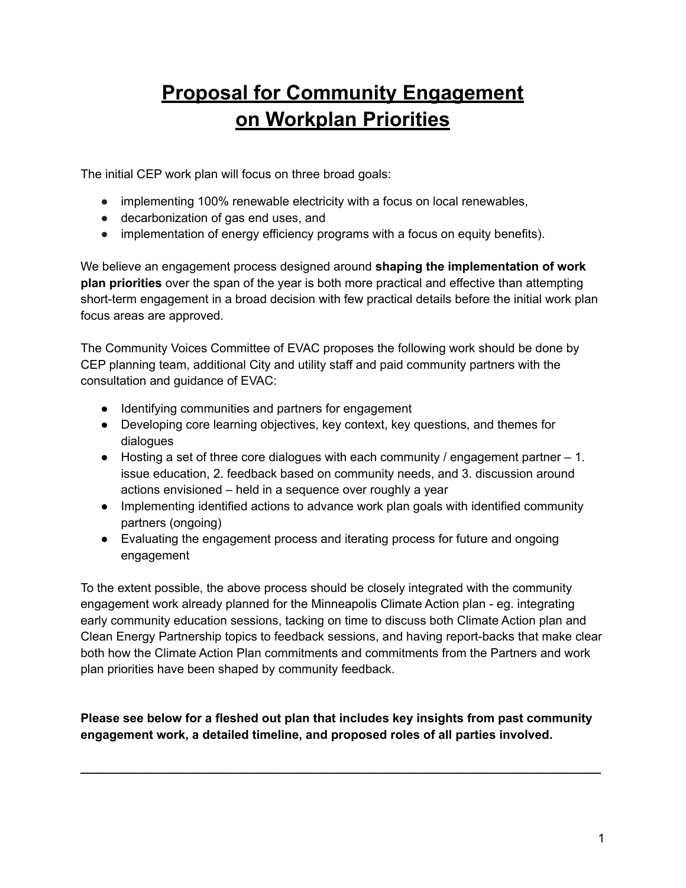## **Proposal for Community Engagement on Workplan Priorities**

The initial CEP work plan will focus on three broad goals:

- implementing 100% renewable electricity with a focus on local renewables,
- decarbonization of gas end uses, and
- implementation of energy efficiency programs with a focus on equity benefits).

We believe an engagement process designed around **shaping the implementation of work plan priorities** over the span of the year is both more practical and effective than attempting short-term engagement in a broad decision with few practical details before the initial work plan focus areas are approved.

The Community Voices Committee of EVAC proposes the following work should be done by CEP planning team, additional City and utility staff and paid community partners with the consultation and guidance of EVAC:

- Identifying communities and partners for engagement
- Developing core learning objectives, key context, key questions, and themes for dialogues
- Hosting a set of three core dialogues with each community / engagement partner 1. issue education, 2. feedback based on community needs, and 3. discussion around actions envisioned – held in a sequence over roughly a year
- Implementing identified actions to advance work plan goals with identified community partners (ongoing)
- Evaluating the engagement process and iterating process for future and ongoing engagement

To the extent possible, the above process should be closely integrated with the community engagement work already planned for the Minneapolis Climate Action plan - eg. integrating early community education sessions, tacking on time to discuss both Climate Action plan and Clean Energy Partnership topics to feedback sessions, and having report-backs that make clear both how the Climate Action Plan commitments and commitments from the Partners and work plan priorities have been shaped by community feedback.

**Please see below for a fleshed out plan that includes key insights from past community engagement work, a detailed timeline, and proposed roles of all parties involved.**

**\_\_\_\_\_\_\_\_\_\_\_\_\_\_\_\_\_\_\_\_\_\_\_\_\_\_\_\_\_\_\_\_\_\_\_\_\_\_\_\_\_\_\_\_\_\_\_\_\_\_\_\_\_\_\_\_\_\_\_\_\_\_\_\_\_\_\_\_\_\_\_\_\_\_\_\_**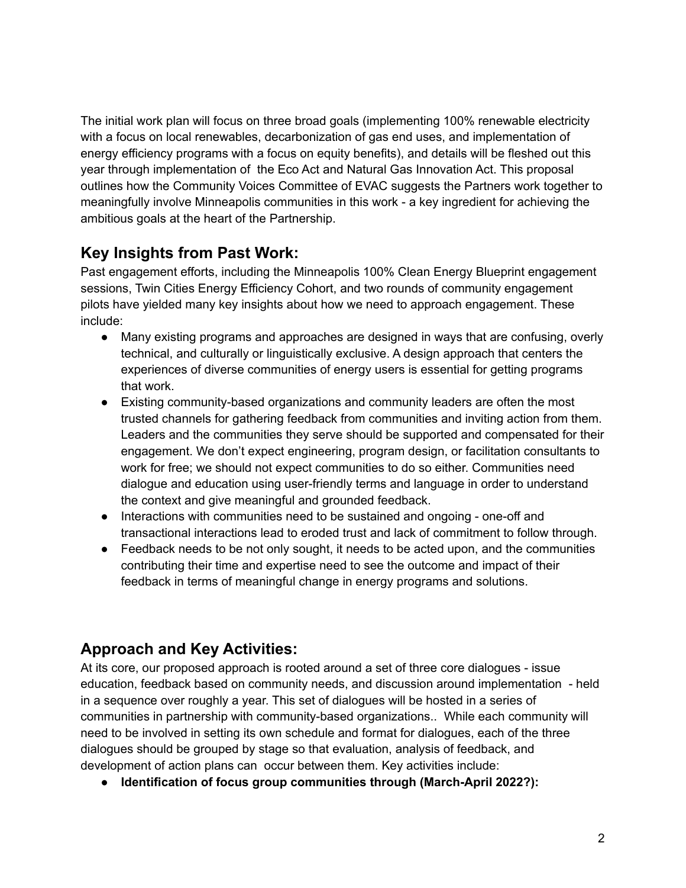The initial work plan will focus on three broad goals (implementing 100% renewable electricity with a focus on local renewables, decarbonization of gas end uses, and implementation of energy efficiency programs with a focus on equity benefits), and details will be fleshed out this year through implementation of the Eco Act and Natural Gas Innovation Act. This proposal outlines how the Community Voices Committee of EVAC suggests the Partners work together to meaningfully involve Minneapolis communities in this work - a key ingredient for achieving the ambitious goals at the heart of the Partnership.

## **Key Insights from Past Work:**

Past engagement efforts, including the Minneapolis 100% Clean Energy Blueprint engagement sessions, Twin Cities Energy Efficiency Cohort, and two rounds of community engagement pilots have yielded many key insights about how we need to approach engagement. These include:

- Many existing programs and approaches are designed in ways that are confusing, overly technical, and culturally or linguistically exclusive. A design approach that centers the experiences of diverse communities of energy users is essential for getting programs that work.
- Existing community-based organizations and community leaders are often the most trusted channels for gathering feedback from communities and inviting action from them. Leaders and the communities they serve should be supported and compensated for their engagement. We don't expect engineering, program design, or facilitation consultants to work for free; we should not expect communities to do so either. Communities need dialogue and education using user-friendly terms and language in order to understand the context and give meaningful and grounded feedback.
- Interactions with communities need to be sustained and ongoing one-off and transactional interactions lead to eroded trust and lack of commitment to follow through.
- Feedback needs to be not only sought, it needs to be acted upon, and the communities contributing their time and expertise need to see the outcome and impact of their feedback in terms of meaningful change in energy programs and solutions.

## **Approach and Key Activities:**

At its core, our proposed approach is rooted around a set of three core dialogues - issue education, feedback based on community needs, and discussion around implementation - held in a sequence over roughly a year. This set of dialogues will be hosted in a series of communities in partnership with community-based organizations.. While each community will need to be involved in setting its own schedule and format for dialogues, each of the three dialogues should be grouped by stage so that evaluation, analysis of feedback, and development of action plans can occur between them. Key activities include:

**● Identification of focus group communities through (March-April 2022?):**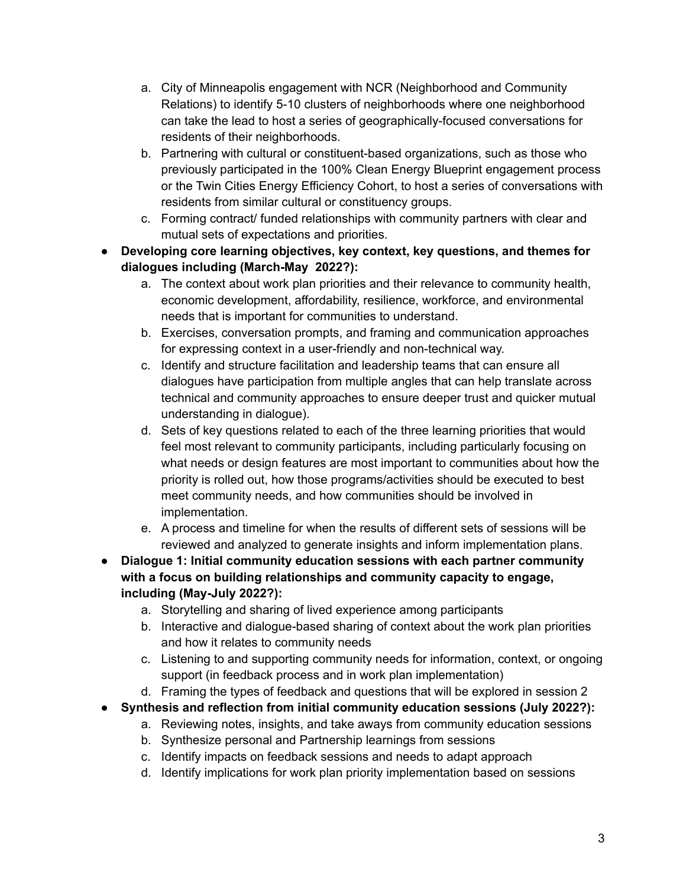- a. City of Minneapolis engagement with NCR (Neighborhood and Community Relations) to identify 5-10 clusters of neighborhoods where one neighborhood can take the lead to host a series of geographically-focused conversations for residents of their neighborhoods.
- b. Partnering with cultural or constituent-based organizations, such as those who previously participated in the 100% Clean Energy Blueprint engagement process or the Twin Cities Energy Efficiency Cohort, to host a series of conversations with residents from similar cultural or constituency groups.
- c. Forming contract/ funded relationships with community partners with clear and mutual sets of expectations and priorities.
- **● Developing core learning objectives, key context, key questions, and themes for dialogues including (March-May 2022?):**
	- a. The context about work plan priorities and their relevance to community health, economic development, affordability, resilience, workforce, and environmental needs that is important for communities to understand.
	- b. Exercises, conversation prompts, and framing and communication approaches for expressing context in a user-friendly and non-technical way.
	- c. Identify and structure facilitation and leadership teams that can ensure all dialogues have participation from multiple angles that can help translate across technical and community approaches to ensure deeper trust and quicker mutual understanding in dialogue).
	- d. Sets of key questions related to each of the three learning priorities that would feel most relevant to community participants, including particularly focusing on what needs or design features are most important to communities about how the priority is rolled out, how those programs/activities should be executed to best meet community needs, and how communities should be involved in implementation.
	- e. A process and timeline for when the results of different sets of sessions will be reviewed and analyzed to generate insights and inform implementation plans.
- **● Dialogue 1: Initial community education sessions with each partner community with a focus on building relationships and community capacity to engage, including (May-July 2022?):**
	- a. Storytelling and sharing of lived experience among participants
	- b. Interactive and dialogue-based sharing of context about the work plan priorities and how it relates to community needs
	- c. Listening to and supporting community needs for information, context, or ongoing support (in feedback process and in work plan implementation)
	- d. Framing the types of feedback and questions that will be explored in session 2
- **● Synthesis and reflection from initial community education sessions (July 2022?):**
	- a. Reviewing notes, insights, and take aways from community education sessions
	- b. Synthesize personal and Partnership learnings from sessions
	- c. Identify impacts on feedback sessions and needs to adapt approach
	- d. Identify implications for work plan priority implementation based on sessions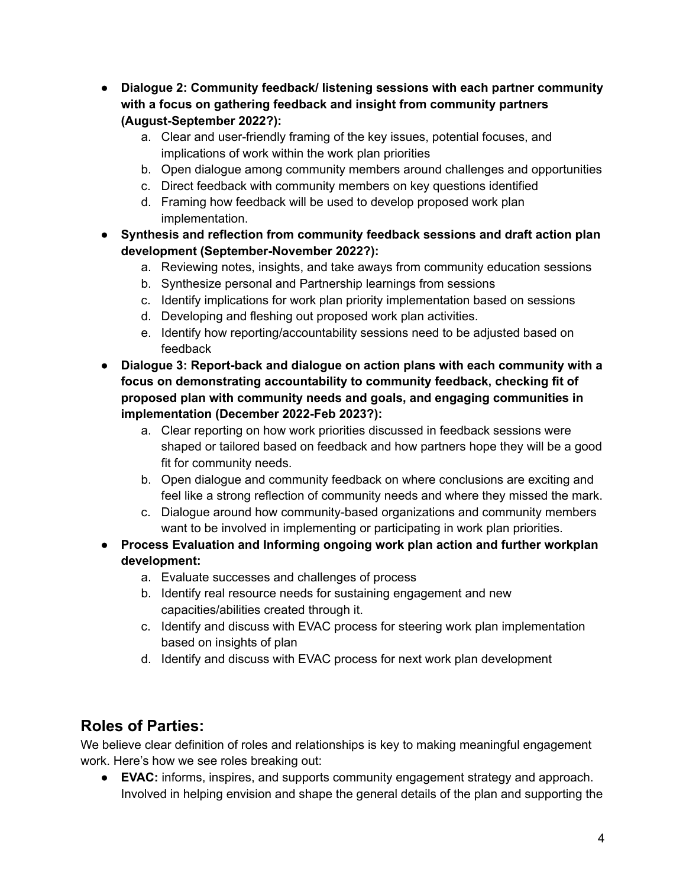- **● Dialogue 2: Community feedback/ listening sessions with each partner community with a focus on gathering feedback and insight from community partners (August-September 2022?):**
	- a. Clear and user-friendly framing of the key issues, potential focuses, and implications of work within the work plan priorities
	- b. Open dialogue among community members around challenges and opportunities
	- c. Direct feedback with community members on key questions identified
	- d. Framing how feedback will be used to develop proposed work plan implementation.
- **● Synthesis and reflection from community feedback sessions and draft action plan development (September-November 2022?):**
	- a. Reviewing notes, insights, and take aways from community education sessions
	- b. Synthesize personal and Partnership learnings from sessions
	- c. Identify implications for work plan priority implementation based on sessions
	- d. Developing and fleshing out proposed work plan activities.
	- e. Identify how reporting/accountability sessions need to be adjusted based on feedback
- **● Dialogue 3: Report-back and dialogue on action plans with each community with a focus on demonstrating accountability to community feedback, checking fit of proposed plan with community needs and goals, and engaging communities in implementation (December 2022-Feb 2023?):**
	- a. Clear reporting on how work priorities discussed in feedback sessions were shaped or tailored based on feedback and how partners hope they will be a good fit for community needs.
	- b. Open dialogue and community feedback on where conclusions are exciting and feel like a strong reflection of community needs and where they missed the mark.
	- c. Dialogue around how community-based organizations and community members want to be involved in implementing or participating in work plan priorities.
- **● Process Evaluation and Informing ongoing work plan action and further workplan development:**
	- a. Evaluate successes and challenges of process
	- b. Identify real resource needs for sustaining engagement and new capacities/abilities created through it.
	- c. Identify and discuss with EVAC process for steering work plan implementation based on insights of plan
	- d. Identify and discuss with EVAC process for next work plan development

## **Roles of Parties:**

We believe clear definition of roles and relationships is key to making meaningful engagement work. Here's how we see roles breaking out:

● **EVAC:** informs, inspires, and supports community engagement strategy and approach. Involved in helping envision and shape the general details of the plan and supporting the